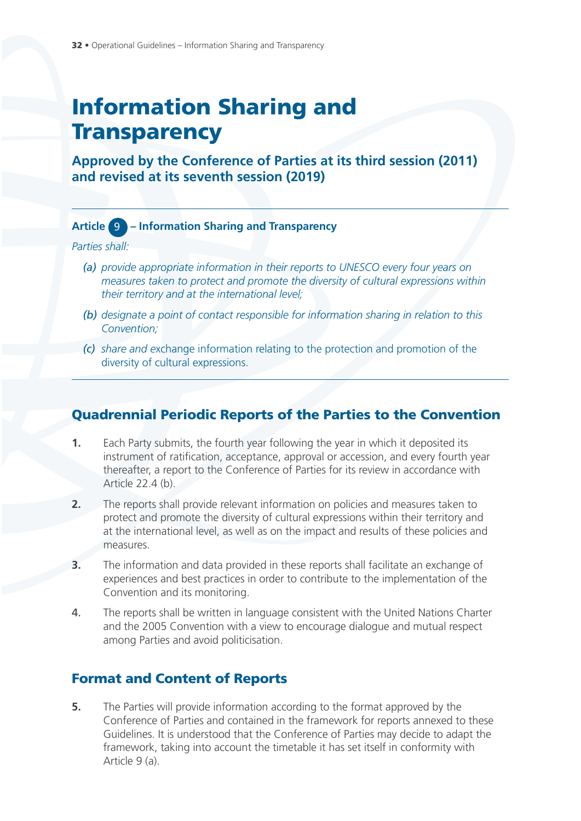# **Information Sharing and Transparency**

**Approved by the Conference of Parties at its third session (2011) and revised at its seventh session (2019)**

## **Article** 9 **– Information Sharing and Transparency**

*Parties shall:*

- *(a) provide appropriate information in their reports to UNESCO every four years on measures taken to protect and promote the diversity of cultural expressions within their territory and at the international level;*
- *(b) designate a point of contact responsible for information sharing in relation to this Convention;*
- *(c) share and e*xchange information relating to the protection and promotion of the diversity of cultural expressions.

# **Quadrennial Periodic Reports of the Parties to the Convention**

- **1.** Each Party submits, the fourth year following the year in which it deposited its instrument of ratification, acceptance, approval or accession, and every fourth year thereafter, a report to the Conference of Parties for its review in accordance with Article 22.4 (b).
- **2.** The reports shall provide relevant information on policies and measures taken to protect and promote the diversity of cultural expressions within their territory and at the international level, as well as on the impact and results of these policies and measures.
- **3.** The information and data provided in these reports shall facilitate an exchange of experiences and best practices in order to contribute to the implementation of the Convention and its monitoring.
- 4. The reports shall be written in language consistent with the United Nations Charter and the 2005 Convention with a view to encourage dialogue and mutual respect among Parties and avoid politicisation.

# **Format and Content of Reports**

**5.** The Parties will provide information according to the format approved by the Conference of Parties and contained in the framework for reports annexed to these Guidelines. It is understood that the Conference of Parties may decide to adapt the framework, taking into account the timetable it has set itself in conformity with Article 9 (a).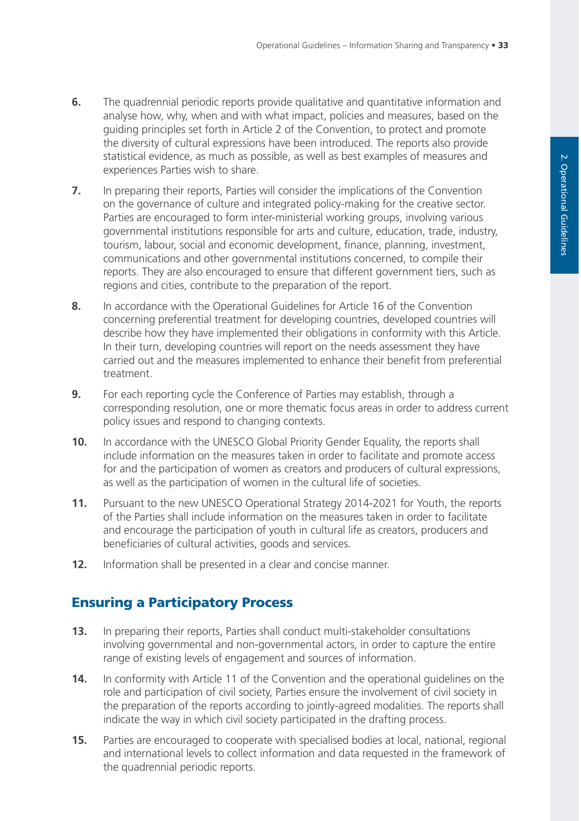- **6.** The quadrennial periodic reports provide qualitative and quantitative information and analyse how, why, when and with what impact, policies and measures, based on the guiding principles set forth in Article 2 of the Convention, to protect and promote the diversity of cultural expressions have been introduced. The reports also provide statistical evidence, as much as possible, as well as best examples of measures and experiences Parties wish to share.
- **7.** In preparing their reports, Parties will consider the implications of the Convention on the governance of culture and integrated policy-making for the creative sector. Parties are encouraged to form inter-ministerial working groups, involving various governmental institutions responsible for arts and culture, education, trade, industry, tourism, labour, social and economic development, finance, planning, investment, communications and other governmental institutions concerned, to compile their reports. They are also encouraged to ensure that different government tiers, such as regions and cities, contribute to the preparation of the report.
- **8.** In accordance with the Operational Guidelines for Article 16 of the Convention concerning preferential treatment for developing countries, developed countries will describe how they have implemented their obligations in conformity with this Article. In their turn, developing countries will report on the needs assessment they have carried out and the measures implemented to enhance their benefit from preferential treatment.
- **9.** For each reporting cycle the Conference of Parties may establish, through a corresponding resolution, one or more thematic focus areas in order to address current policy issues and respond to changing contexts.
- **10.** In accordance with the UNESCO Global Priority Gender Equality, the reports shall include information on the measures taken in order to facilitate and promote access for and the participation of women as creators and producers of cultural expressions, as well as the participation of women in the cultural life of societies.
- **11.** Pursuant to the new UNESCO Operational Strategy 2014-2021 for Youth, the reports of the Parties shall include information on the measures taken in order to facilitate and encourage the participation of youth in cultural life as creators, producers and beneficiaries of cultural activities, goods and services.
- **12.** Information shall be presented in a clear and concise manner.

# **Ensuring a Participatory Process**

- $13.$ preparing their reports, Parties shall conduct multi-stakeholder consultations involving governmental and non-governmental actors, in order to capture the entire range of existing levels of engagement and sources of information.
- **14.** In conformity with Article 11 of the Convention and the operational guidelines on the role and participation of civil society, Parties ensure the involvement of civil society in the preparation of the reports according to jointly-agreed modalities. The reports shall indicate the way in which civil society participated in the drafting process.
- **15.** Parties are encouraged to cooperate with specialised bodies at local, national, regional and international levels to collect information and data requested in the framework of the quadrennial periodic reports.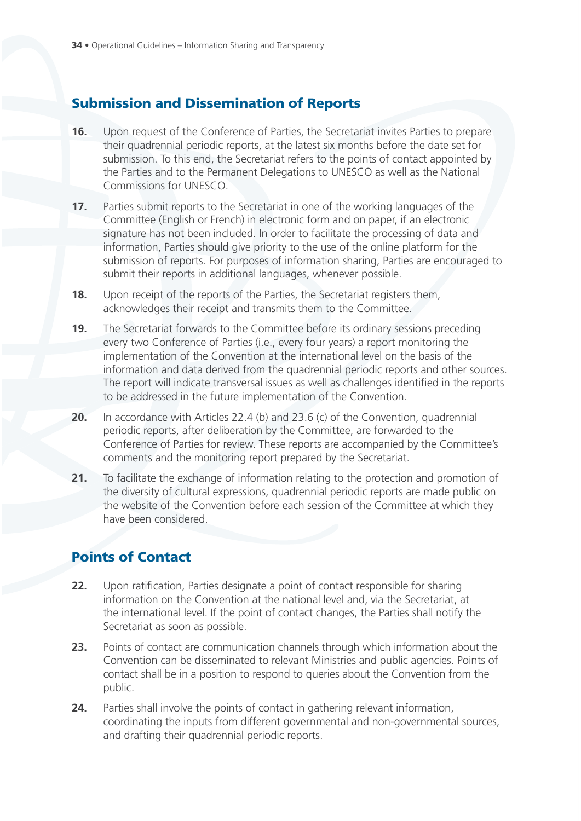# **Submission and Dissemination of Reports**

- **16.** Upon request of the Conference of Parties, the Secretariat invites Parties to prepare their quadrennial periodic reports, at the latest six months before the date set for submission. To this end, the Secretariat refers to the points of contact appointed by the Parties and to the Permanent Delegations to UNESCO as well as the National Commissions for UNESCO.
- **17.** Parties submit reports to the Secretariat in one of the working languages of the Committee (English or French) in electronic form and on paper, if an electronic signature has not been included. In order to facilitate the processing of data and information, Parties should give priority to the use of the online platform for the submission of reports. For purposes of information sharing, Parties are encouraged to submit their reports in additional languages, whenever possible.
- **18.** Upon receipt of the reports of the Parties, the Secretariat registers them, acknowledges their receipt and transmits them to the Committee.
- **19.** The Secretariat forwards to the Committee before its ordinary sessions preceding every two Conference of Parties (i.e., every four years) a report monitoring the implementation of the Convention at the international level on the basis of the information and data derived from the quadrennial periodic reports and other sources. The report will indicate transversal issues as well as challenges identified in the reports to be addressed in the future implementation of the Convention.
- **20.** In accordance with Articles 22.4 (b) and 23.6 (c) of the Convention, quadrennial periodic reports, after deliberation by the Committee, are forwarded to the Conference of Parties for review. These reports are accompanied by the Committee's comments and the monitoring report prepared by the Secretariat.
- **21.** To facilitate the exchange of information relating to the protection and promotion of the diversity of cultural expressions, quadrennial periodic reports are made public on the website of the Convention before each session of the Committee at which they have been considered.

# **Points of Contact**

- **22.** Upon ratification, Parties designate a point of contact responsible for sharing information on the Convention at the national level and, via the Secretariat, at the international level. If the point of contact changes, the Parties shall notify the Secretariat as soon as possible.
- **23.** Points of contact are communication channels through which information about the Convention can be disseminated to relevant Ministries and public agencies. Points of contact shall be in a position to respond to queries about the Convention from the public.
- **24.** Parties shall involve the points of contact in gathering relevant information, coordinating the inputs from different governmental and non-governmental sources, and drafting their quadrennial periodic reports.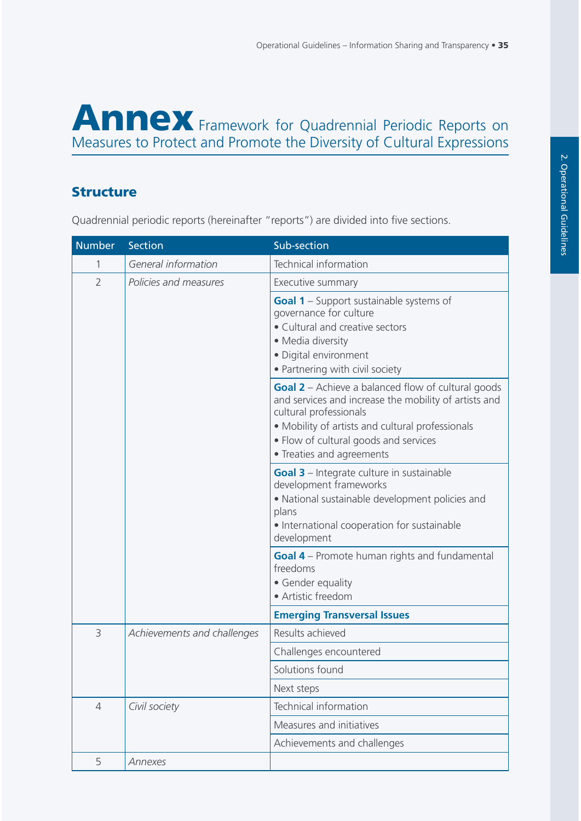# **Annex** Framework for Quadrennial Periodic Reports on Measures to Protect and Promote the Diversity of Cultural Expressions

# **Structure**

Quadrennial periodic reports (hereinafter "reports") are divided into five sections.

| <b>Number</b>  | Section                     | Sub-section                                                                                                                                                                                                                                                            |
|----------------|-----------------------------|------------------------------------------------------------------------------------------------------------------------------------------------------------------------------------------------------------------------------------------------------------------------|
| 1              | General information         | Technical information                                                                                                                                                                                                                                                  |
| $\overline{2}$ | Policies and measures       | Executive summary                                                                                                                                                                                                                                                      |
|                |                             | <b>Goal 1</b> – Support sustainable systems of<br>governance for culture<br>• Cultural and creative sectors<br>• Media diversity<br>· Digital environment<br>• Partnering with civil society                                                                           |
|                |                             | <b>Goal 2</b> – Achieve a balanced flow of cultural goods<br>and services and increase the mobility of artists and<br>cultural professionals<br>• Mobility of artists and cultural professionals<br>• Flow of cultural goods and services<br>• Treaties and agreements |
|                |                             | Goal 3 - Integrate culture in sustainable<br>development frameworks<br>· National sustainable development policies and<br>plans<br>• International cooperation for sustainable<br>development                                                                          |
|                |                             | <b>Goal 4</b> – Promote human rights and fundamental<br>freedoms<br>• Gender equality<br>• Artistic freedom                                                                                                                                                            |
|                |                             | <b>Emerging Transversal Issues</b>                                                                                                                                                                                                                                     |
| 3              | Achievements and challenges | Results achieved                                                                                                                                                                                                                                                       |
|                |                             | Challenges encountered                                                                                                                                                                                                                                                 |
|                |                             | Solutions found                                                                                                                                                                                                                                                        |
|                |                             | Next steps                                                                                                                                                                                                                                                             |
| $\overline{4}$ | Civil society               | Technical information                                                                                                                                                                                                                                                  |
|                |                             | Measures and initiatives                                                                                                                                                                                                                                               |
|                |                             | Achievements and challenges                                                                                                                                                                                                                                            |
| 5              | Annexes                     |                                                                                                                                                                                                                                                                        |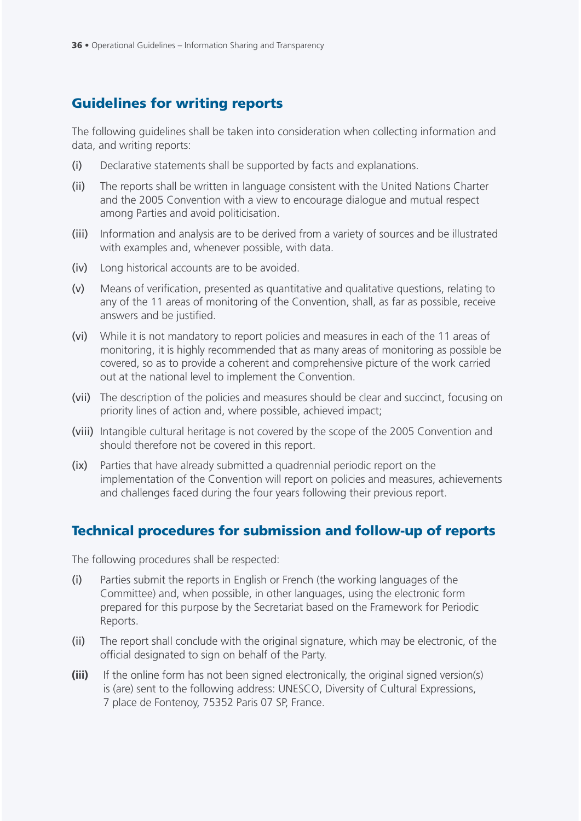# **Guidelines for writing reports**

The following guidelines shall be taken into consideration when collecting information and data, and writing reports:

- (i) Declarative statements shall be supported by facts and explanations.
- (ii) The reports shall be written in language consistent with the United Nations Charter and the 2005 Convention with a view to encourage dialogue and mutual respect among Parties and avoid politicisation.
- (iii) Information and analysis are to be derived from a variety of sources and be illustrated with examples and, whenever possible, with data.
- (iv) Long historical accounts are to be avoided.
- (v) Means of verification, presented as quantitative and qualitative questions, relating to any of the 11 areas of monitoring of the Convention, shall, as far as possible, receive answers and be justified.
- (vi) While it is not mandatory to report policies and measures in each of the 11 areas of monitoring, it is highly recommended that as many areas of monitoring as possible be covered, so as to provide a coherent and comprehensive picture of the work carried out at the national level to implement the Convention.
- (vii) The description of the policies and measures should be clear and succinct, focusing on priority lines of action and, where possible, achieved impact;
- (viii) Intangible cultural heritage is not covered by the scope of the 2005 Convention and should therefore not be covered in this report.
- (ix) Parties that have already submitted a quadrennial periodic report on the implementation of the Convention will report on policies and measures, achievements and challenges faced during the four years following their previous report.

## **Technical procedures for submission and follow-up of reports**

The following procedures shall be respected:

- (i) Parties submit the reports in English or French (the working languages of the Committee) and, when possible, in other languages, using the electronic form prepared for this purpose by the Secretariat based on the Framework for Periodic Reports.
- (ii) The report shall conclude with the original signature, which may be electronic, of the official designated to sign on behalf of the Party.
- **(iii)** If the online form has not been signed electronically, the original signed version(s) is (are) sent to the following address: UNESCO, Diversity of Cultural Expressions, 7 place de Fontenoy, 75352 Paris 07 SP, France.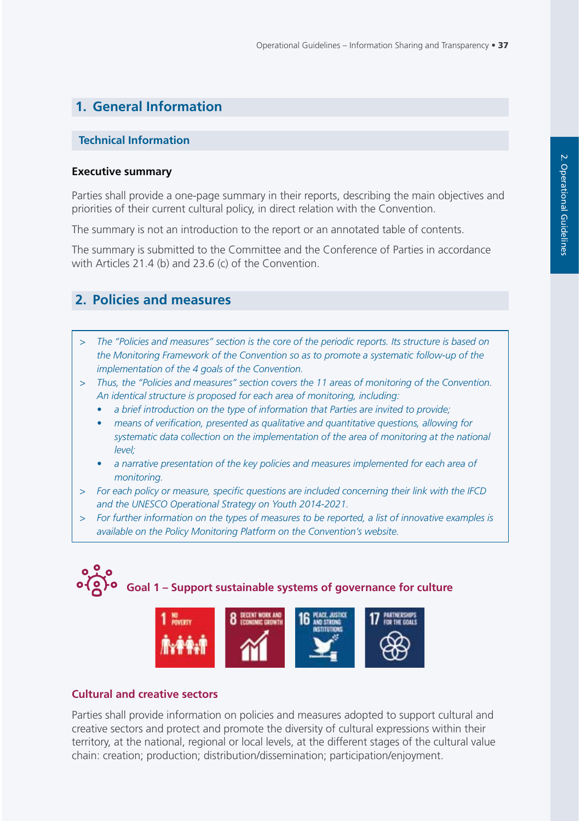## **1. General Information**

#### **Technical Information**

#### **Executive summary**

Parties shall provide a one-page summary in their reports, describing the main objectives and priorities of their current cultural policy, in direct relation with the Convention.

The summary is not an introduction to the report or an annotated table of contents.

The summary is submitted to the Committee and the Conference of Parties in accordance with Articles 21.4 (b) and 23.6 (c) of the Convention.

## **2. Policies and measures**

- *> The "Policies and measures" section is the core of the periodic reports. Its structure is based on the Monitoring Framework of the Convention so as to promote a systematic follow-up of the implementation of the 4 goals of the Convention.*
- *> Thus, the "Policies and measures" section covers the 11 areas of monitoring of the Convention. An identical structure is proposed for each area of monitoring, including:*
	- *a brief introduction on the type of information that Parties are invited to provide;*
	- *means of verification, presented as qualitative and quantitative questions, allowing for systematic data collection on the implementation of the area of monitoring at the national level;*
	- *a narrative presentation of the key policies and measures implemented for each area of monitoring.*
- *> For each policy or measure, specific questions are included concerning their link with the IFCD and the UNESCO Operational Strategy on Youth 2014-2021.*
- *> For further information on the types of measures to be reported, a list of innovative examples is available on the Policy Monitoring Platform on the Convention's website.*





#### **Cultural and creative sectors**

Parties shall provide information on policies and measures adopted to support cultural and creative sectors and protect and promote the diversity of cultural expressions within their territory, at the national, regional or local levels, at the different stages of the cultural value chain: creation; production; distribution/dissemination; participation/enjoyment.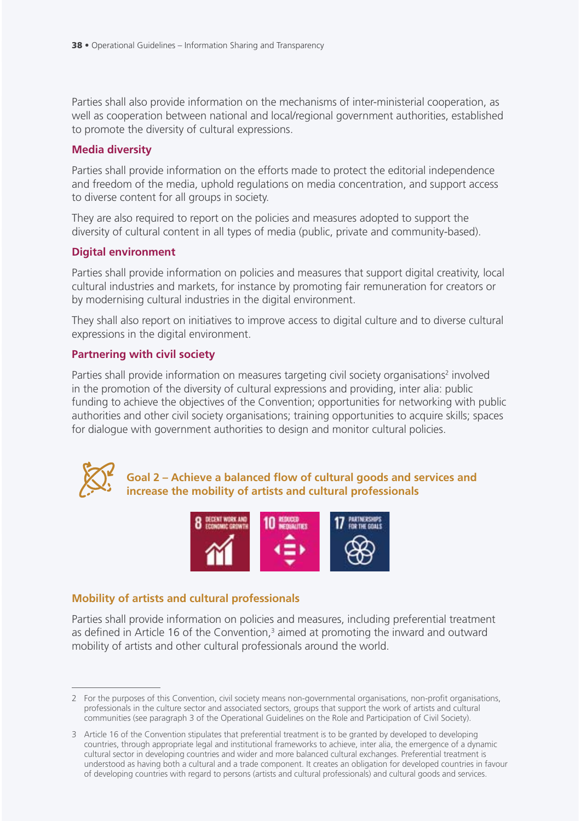Parties shall also provide information on the mechanisms of inter-ministerial cooperation, as well as cooperation between national and local/regional government authorities, established to promote the diversity of cultural expressions.

## **Media diversity**

Parties shall provide information on the efforts made to protect the editorial independence and freedom of the media, uphold regulations on media concentration, and support access to diverse content for all groups in society.

They are also required to report on the policies and measures adopted to support the diversity of cultural content in all types of media (public, private and community-based).

## **Digital environment**

Parties shall provide information on policies and measures that support digital creativity, local cultural industries and markets, for instance by promoting fair remuneration for creators or by modernising cultural industries in the digital environment.

They shall also report on initiatives to improve access to digital culture and to diverse cultural expressions in the digital environment.

## **Partnering with civil society**

Parties shall provide information on measures targeting civil society organisations<sup>2</sup> involved in the promotion of the diversity of cultural expressions and providing, inter alia: public funding to achieve the objectives of the Convention; opportunities for networking with public authorities and other civil society organisations; training opportunities to acquire skills; spaces for dialogue with government authorities to design and monitor cultural policies.



**Goal 2 – Achieve a balanced flow of cultural goods and services and increase the mobility of artists and cultural professionals**



## **Mobility of artists and cultural professionals**

Parties shall provide information on policies and measures, including preferential treatment as defined in Article 16 of the Convention, $3$  aimed at promoting the inward and outward mobility of artists and other cultural professionals around the world.

<sup>2</sup> For the purposes of this Convention, civil society means non-governmental organisations, non-profit organisations, professionals in the culture sector and associated sectors, groups that support the work of artists and cultural communities (see paragraph 3 of the Operational Guidelines on the Role and Participation of Civil Society).

<sup>3</sup> Article 16 of the Convention stipulates that preferential treatment is to be granted by developed to developing countries, through appropriate legal and institutional frameworks to achieve, inter alia, the emergence of a dynamic cultural sector in developing countries and wider and more balanced cultural exchanges. Preferential treatment is understood as having both a cultural and a trade component. It creates an obligation for developed countries in favour of developing countries with regard to persons (artists and cultural professionals) and cultural goods and services.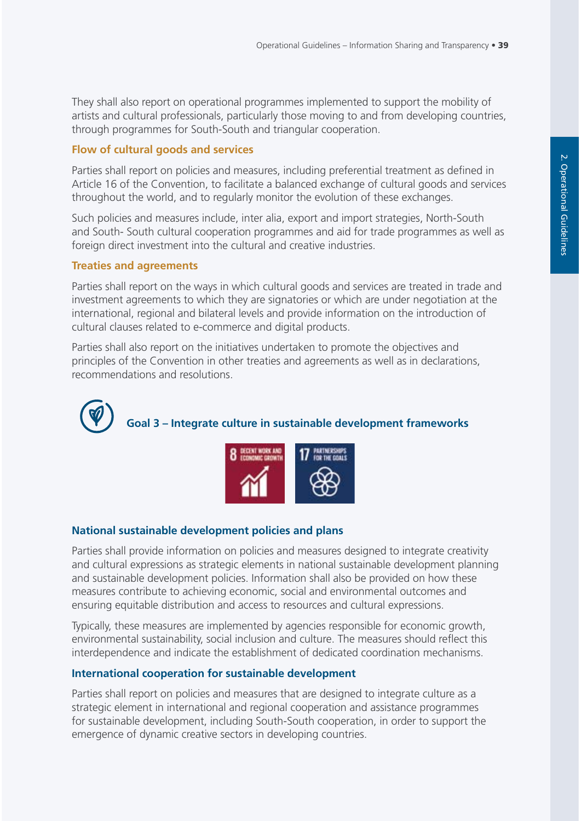They shall also report on operational programmes implemented to support the mobility of artists and cultural professionals, particularly those moving to and from developing countries, through programmes for South-South and triangular cooperation.

## **Flow of cultural goods and services**

Parties shall report on policies and measures, including preferential treatment as defined in Article 16 of the Convention, to facilitate a balanced exchange of cultural goods and services throughout the world, and to regularly monitor the evolution of these exchanges.

Such policies and measures include, inter alia, export and import strategies, North-South and South- South cultural cooperation programmes and aid for trade programmes as well as foreign direct investment into the cultural and creative industries.

#### **Treaties and agreements**

Parties shall report on the ways in which cultural goods and services are treated in trade and investment agreements to which they are signatories or which are under negotiation at the international, regional and bilateral levels and provide information on the introduction of cultural clauses related to e-commerce and digital products.

Parties shall also report on the initiatives undertaken to promote the objectives and principles of the Convention in other treaties and agreements as well as in declarations, recommendations and resolutions.





## **National sustainable development policies and plans**

Parties shall provide information on policies and measures designed to integrate creativity and cultural expressions as strategic elements in national sustainable development planning and sustainable development policies. Information shall also be provided on how these measures contribute to achieving economic, social and environmental outcomes and ensuring equitable distribution and access to resources and cultural expressions.

Typically, these measures are implemented by agencies responsible for economic growth, environmental sustainability, social inclusion and culture. The measures should reflect this interdependence and indicate the establishment of dedicated coordination mechanisms.

## **International cooperation for sustainable development**

Parties shall report on policies and measures that are designed to integrate culture as a strategic element in international and regional cooperation and assistance programmes for sustainable development, including South-South cooperation, in order to support the emergence of dynamic creative sectors in developing countries.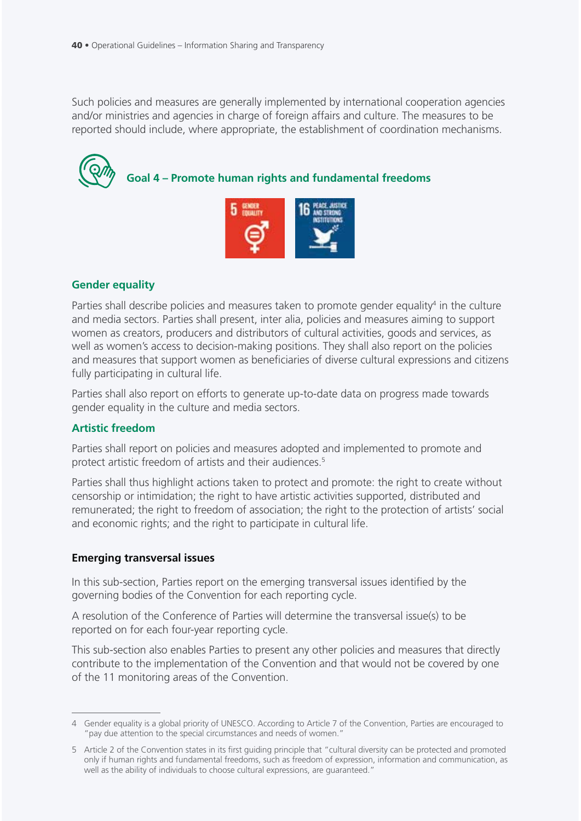Such policies and measures are generally implemented by international cooperation agencies and/or ministries and agencies in charge of foreign affairs and culture. The measures to be reported should include, where appropriate, the establishment of coordination mechanisms.



**Goal 4 – Promote human rights and fundamental freedoms**



## **Gender equality**

Parties shall describe policies and measures taken to promote gender equality<sup>4</sup> in the culture and media sectors. Parties shall present, inter alia, policies and measures aiming to support women as creators, producers and distributors of cultural activities, goods and services, as well as women's access to decision-making positions. They shall also report on the policies and measures that support women as beneficiaries of diverse cultural expressions and citizens fully participating in cultural life.

Parties shall also report on efforts to generate up-to-date data on progress made towards gender equality in the culture and media sectors.

#### **Artistic freedom**

Parties shall report on policies and measures adopted and implemented to promote and protect artistic freedom of artists and their audiences.<sup>5</sup>

Parties shall thus highlight actions taken to protect and promote: the right to create without censorship or intimidation; the right to have artistic activities supported, distributed and remunerated; the right to freedom of association; the right to the protection of artists' social and economic rights; and the right to participate in cultural life.

#### **Emerging transversal issues**

In this sub-section, Parties report on the emerging transversal issues identified by the governing bodies of the Convention for each reporting cycle.

A resolution of the Conference of Parties will determine the transversal issue(s) to be reported on for each four-year reporting cycle.

This sub-section also enables Parties to present any other policies and measures that directly contribute to the implementation of the Convention and that would not be covered by one of the 11 monitoring areas of the Convention.

<sup>4</sup> Gender equality is a global priority of UNESCO. According to Article 7 of the Convention, Parties are encouraged to "pay due attention to the special circumstances and needs of women."

<sup>5</sup> Article 2 of the Convention states in its first guiding principle that "cultural diversity can be protected and promoted only if human rights and fundamental freedoms, such as freedom of expression, information and communication, as well as the ability of individuals to choose cultural expressions, are guaranteed."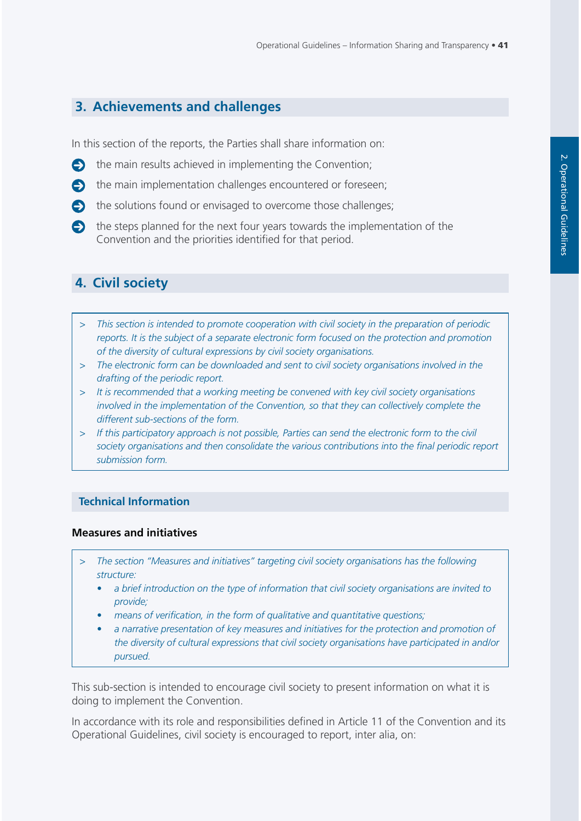## **3. Achievements and challenges**

In this section of the reports, the Parties shall share information on:

- $\bullet$  the main results achieved in implementing the Convention;
- $\bullet$  the main implementation challenges encountered or foreseen;
- $\bullet$  the solutions found or envisaged to overcome those challenges;
- $\bullet$  the steps planned for the next four years towards the implementation of the Convention and the priorities identified for that period.

## **4. Civil society**

- *> This section is intended to promote cooperation with civil society in the preparation of periodic reports. It is the subject of a separate electronic form focused on the protection and promotion of the diversity of cultural expressions by civil society organisations.*
- *> The electronic form can be downloaded and sent to civil society organisations involved in the drafting of the periodic report.*
- *> It is recommended that a working meeting be convened with key civil society organisations involved in the implementation of the Convention, so that they can collectively complete the different sub-sections of the form.*
- *> If this participatory approach is not possible, Parties can send the electronic form to the civil society organisations and then consolidate the various contributions into the final periodic report submission form.*

#### **Technical Information**

#### **Measures and initiatives**

- *> The section "Measures and initiatives" targeting civil society organisations has the following structure:*
	- *a brief introduction on the type of information that civil society organisations are invited to provide;*
	- *means of verification, in the form of qualitative and quantitative questions;*
	- *a narrative presentation of key measures and initiatives for the protection and promotion of the diversity of cultural expressions that civil society organisations have participated in and/or pursued.*

This sub-section is intended to encourage civil society to present information on what it is doing to implement the Convention.

In accordance with its role and responsibilities defined in Article 11 of the Convention and its Operational Guidelines, civil society is encouraged to report, inter alia, on: